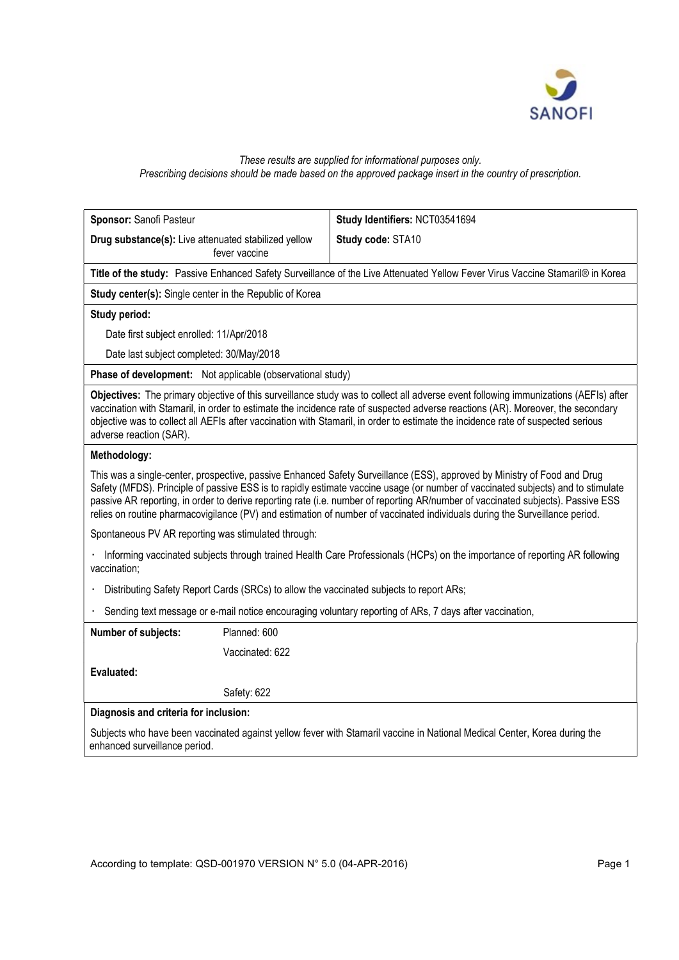

# These results are supplied for informational purposes only. Prescribing decisions should be made based on the approved package insert in the country of prescription.

| Sponsor: Sanofi Pasteur                                                                                                                                                                                                                                                                                                                                                                                                                                                                                                         | Study Identifiers: NCT03541694 |
|---------------------------------------------------------------------------------------------------------------------------------------------------------------------------------------------------------------------------------------------------------------------------------------------------------------------------------------------------------------------------------------------------------------------------------------------------------------------------------------------------------------------------------|--------------------------------|
| Drug substance(s): Live attenuated stabilized yellow<br>fever vaccine                                                                                                                                                                                                                                                                                                                                                                                                                                                           | Study code: STA10              |
| Title of the study: Passive Enhanced Safety Surveillance of the Live Attenuated Yellow Fever Virus Vaccine Stamaril® in Korea                                                                                                                                                                                                                                                                                                                                                                                                   |                                |
| Study center(s): Single center in the Republic of Korea                                                                                                                                                                                                                                                                                                                                                                                                                                                                         |                                |
| Study period:                                                                                                                                                                                                                                                                                                                                                                                                                                                                                                                   |                                |
| Date first subject enrolled: 11/Apr/2018                                                                                                                                                                                                                                                                                                                                                                                                                                                                                        |                                |
| Date last subject completed: 30/May/2018                                                                                                                                                                                                                                                                                                                                                                                                                                                                                        |                                |
| Phase of development: Not applicable (observational study)                                                                                                                                                                                                                                                                                                                                                                                                                                                                      |                                |
| Objectives: The primary objective of this surveillance study was to collect all adverse event following immunizations (AEFIs) after<br>vaccination with Stamaril, in order to estimate the incidence rate of suspected adverse reactions (AR). Moreover, the secondary<br>objective was to collect all AEFIs after vaccination with Stamaril, in order to estimate the incidence rate of suspected serious<br>adverse reaction (SAR).                                                                                           |                                |
| Methodology:                                                                                                                                                                                                                                                                                                                                                                                                                                                                                                                    |                                |
| This was a single-center, prospective, passive Enhanced Safety Surveillance (ESS), approved by Ministry of Food and Drug<br>Safety (MFDS). Principle of passive ESS is to rapidly estimate vaccine usage (or number of vaccinated subjects) and to stimulate<br>passive AR reporting, in order to derive reporting rate (i.e. number of reporting AR/number of vaccinated subjects). Passive ESS<br>relies on routine pharmacovigilance (PV) and estimation of number of vaccinated individuals during the Surveillance period. |                                |
| Spontaneous PV AR reporting was stimulated through:                                                                                                                                                                                                                                                                                                                                                                                                                                                                             |                                |
| Informing vaccinated subjects through trained Health Care Professionals (HCPs) on the importance of reporting AR following<br>vaccination;                                                                                                                                                                                                                                                                                                                                                                                      |                                |
| Distributing Safety Report Cards (SRCs) to allow the vaccinated subjects to report ARs;                                                                                                                                                                                                                                                                                                                                                                                                                                         |                                |
| Sending text message or e-mail notice encouraging voluntary reporting of ARs, 7 days after vaccination,<br>×,                                                                                                                                                                                                                                                                                                                                                                                                                   |                                |
| Planned: 600<br>Number of subjects:                                                                                                                                                                                                                                                                                                                                                                                                                                                                                             |                                |
| Vaccinated: 622                                                                                                                                                                                                                                                                                                                                                                                                                                                                                                                 |                                |
| Evaluated:                                                                                                                                                                                                                                                                                                                                                                                                                                                                                                                      |                                |
| Safety: 622                                                                                                                                                                                                                                                                                                                                                                                                                                                                                                                     |                                |
| Diagnosis and criteria for inclusion:                                                                                                                                                                                                                                                                                                                                                                                                                                                                                           |                                |
| Subjects who have been vaccinated against yellow fever with Stamaril vaccine in National Medical Center, Korea during the<br>enhanced surveillance period.                                                                                                                                                                                                                                                                                                                                                                      |                                |